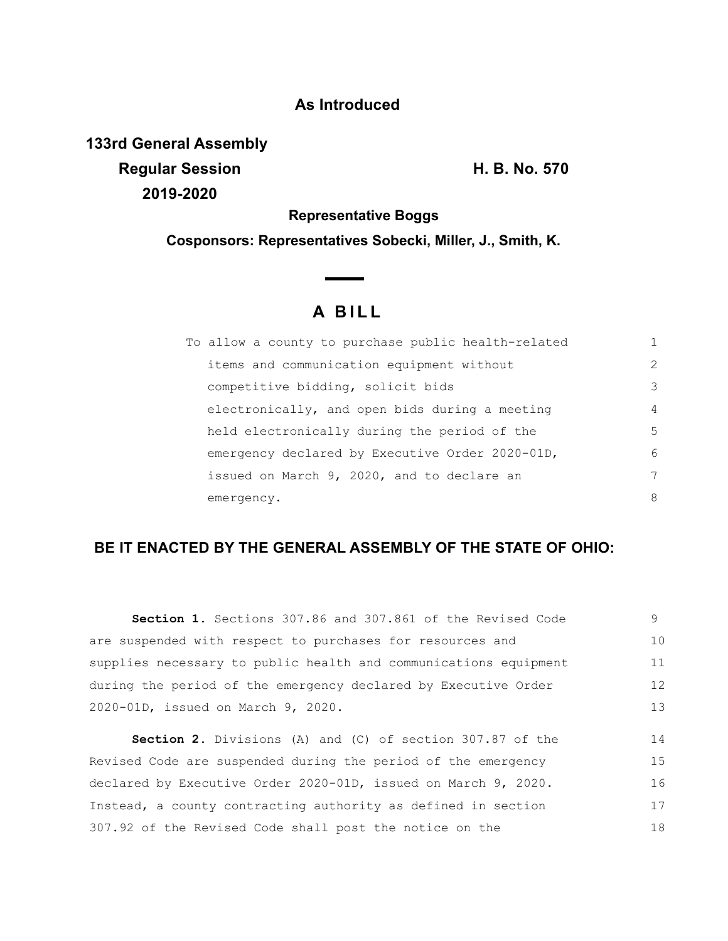## **As Introduced**

**133rd General Assembly Regular Session H. B. No. 570 2019-2020**

**Representative Boggs**

**Cosponsors: Representatives Sobecki, Miller, J., Smith, K.**

## **A B I L L**

| To allow a county to purchase public health-related |               |
|-----------------------------------------------------|---------------|
| items and communication equipment without           | $\mathcal{L}$ |
| competitive bidding, solicit bids                   | 3             |
| electronically, and open bids during a meeting      | 4             |
| held electronically during the period of the        | 5             |
| emergency declared by Executive Order 2020-01D,     | 6             |
| issued on March 9, 2020, and to declare an          | 7             |
| emergency.                                          | 8             |

## **BE IT ENACTED BY THE GENERAL ASSEMBLY OF THE STATE OF OHIO:**

**Section 1.** Sections 307.86 and 307.861 of the Revised Code are suspended with respect to purchases for resources and supplies necessary to public health and communications equipment during the period of the emergency declared by Executive Order 2020-01D, issued on March 9, 2020. **Section 2.** Divisions (A) and (C) of section 307.87 of the 9 10 11 12 13 14

Revised Code are suspended during the period of the emergency declared by Executive Order 2020-01D, issued on March 9, 2020. Instead, a county contracting authority as defined in section 307.92 of the Revised Code shall post the notice on the 15 16 17 18